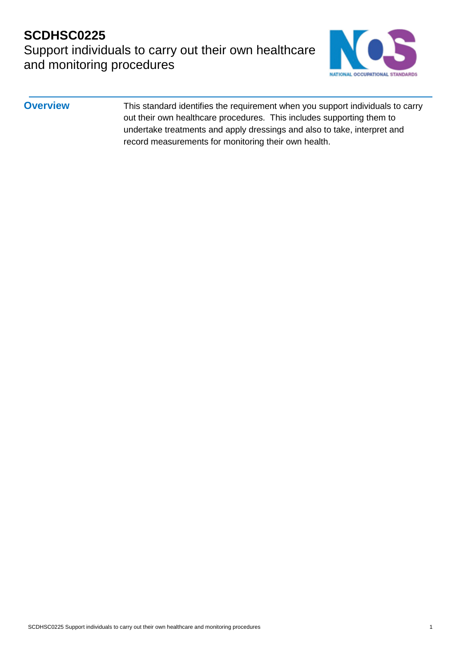## **SCDHSC0225**  Support individuals to carry out their own healthcare and monitoring procedures



**Overview** This standard identifies the requirement when you support individuals to carry out their own healthcare procedures. This includes supporting them to undertake treatments and apply dressings and also to take, interpret and record measurements for monitoring their own health.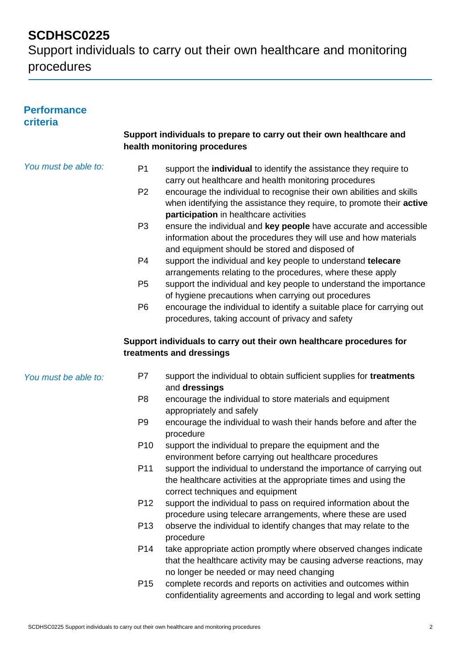Support individuals to carry out their own healthcare and monitoring procedures

#### **Performance criteria**

#### **Support individuals to prepare to carry out their own healthcare and health monitoring procedures**

| You must be able to: | P <sub>1</sub><br>P <sub>2</sub><br>P <sub>3</sub><br>P <sub>4</sub><br>P <sub>5</sub><br>P <sub>6</sub> | support the individual to identify the assistance they require to<br>carry out healthcare and health monitoring procedures<br>encourage the individual to recognise their own abilities and skills<br>when identifying the assistance they require, to promote their active<br>participation in healthcare activities<br>ensure the individual and key people have accurate and accessible<br>information about the procedures they will use and how materials<br>and equipment should be stored and disposed of<br>support the individual and key people to understand telecare<br>arrangements relating to the procedures, where these apply<br>support the individual and key people to understand the importance<br>of hygiene precautions when carrying out procedures<br>encourage the individual to identify a suitable place for carrying out<br>procedures, taking account of privacy and safety |
|----------------------|----------------------------------------------------------------------------------------------------------|-----------------------------------------------------------------------------------------------------------------------------------------------------------------------------------------------------------------------------------------------------------------------------------------------------------------------------------------------------------------------------------------------------------------------------------------------------------------------------------------------------------------------------------------------------------------------------------------------------------------------------------------------------------------------------------------------------------------------------------------------------------------------------------------------------------------------------------------------------------------------------------------------------------|
|                      |                                                                                                          | Support individuals to carry out their own healthcare procedures for<br>treatments and dressings                                                                                                                                                                                                                                                                                                                                                                                                                                                                                                                                                                                                                                                                                                                                                                                                          |
| You must be able to: | P7                                                                                                       | support the individual to obtain sufficient supplies for treatments<br>and dressings                                                                                                                                                                                                                                                                                                                                                                                                                                                                                                                                                                                                                                                                                                                                                                                                                      |
|                      | P <sub>8</sub>                                                                                           | encourage the individual to store materials and equipment<br>appropriately and safely                                                                                                                                                                                                                                                                                                                                                                                                                                                                                                                                                                                                                                                                                                                                                                                                                     |
|                      | P <sub>9</sub>                                                                                           | encourage the individual to wash their hands before and after the<br>procedure                                                                                                                                                                                                                                                                                                                                                                                                                                                                                                                                                                                                                                                                                                                                                                                                                            |
|                      | P <sub>10</sub>                                                                                          | support the individual to prepare the equipment and the<br>environment before carrying out healthcare procedures                                                                                                                                                                                                                                                                                                                                                                                                                                                                                                                                                                                                                                                                                                                                                                                          |
|                      | P11                                                                                                      | support the individual to understand the importance of carrying out<br>the healthcare activities at the appropriate times and using the<br>correct techniques and equipment                                                                                                                                                                                                                                                                                                                                                                                                                                                                                                                                                                                                                                                                                                                               |
|                      | P <sub>12</sub>                                                                                          | support the individual to pass on required information about the<br>procedure using telecare arrangements, where these are used                                                                                                                                                                                                                                                                                                                                                                                                                                                                                                                                                                                                                                                                                                                                                                           |
|                      | P <sub>13</sub>                                                                                          | observe the individual to identify changes that may relate to the<br>procedure                                                                                                                                                                                                                                                                                                                                                                                                                                                                                                                                                                                                                                                                                                                                                                                                                            |
|                      | P14                                                                                                      | take appropriate action promptly where observed changes indicate<br>that the healthcare activity may be causing adverse reactions, may<br>no longer be needed or may need changing                                                                                                                                                                                                                                                                                                                                                                                                                                                                                                                                                                                                                                                                                                                        |
|                      | P <sub>15</sub>                                                                                          | complete records and reports on activities and outcomes within<br>confidentiality agreements and according to legal and work setting                                                                                                                                                                                                                                                                                                                                                                                                                                                                                                                                                                                                                                                                                                                                                                      |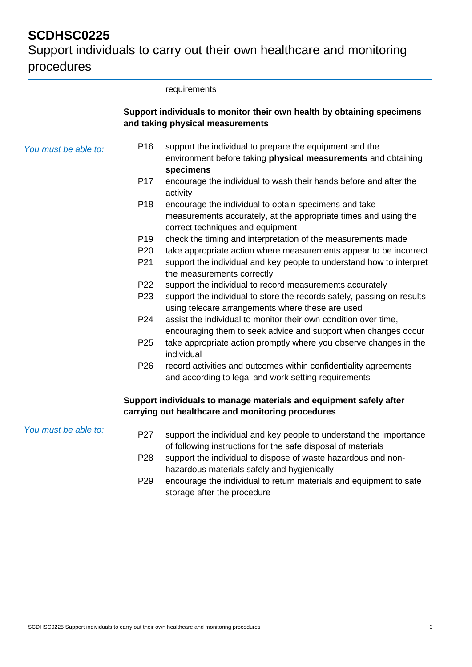|                      |                 | requirements                                                                                                                                                 |
|----------------------|-----------------|--------------------------------------------------------------------------------------------------------------------------------------------------------------|
|                      |                 | Support individuals to monitor their own health by obtaining specimens<br>and taking physical measurements                                                   |
| You must be able to: | P <sub>16</sub> | support the individual to prepare the equipment and the<br>environment before taking physical measurements and obtaining<br>specimens                        |
|                      | P <sub>17</sub> | encourage the individual to wash their hands before and after the<br>activity                                                                                |
|                      | P <sub>18</sub> | encourage the individual to obtain specimens and take<br>measurements accurately, at the appropriate times and using the<br>correct techniques and equipment |
|                      | P <sub>19</sub> | check the timing and interpretation of the measurements made                                                                                                 |
|                      | P <sub>20</sub> | take appropriate action where measurements appear to be incorrect                                                                                            |
|                      | P21             | support the individual and key people to understand how to interpret<br>the measurements correctly                                                           |
|                      | P <sub>22</sub> | support the individual to record measurements accurately                                                                                                     |
|                      | P <sub>23</sub> | support the individual to store the records safely, passing on results<br>using telecare arrangements where these are used                                   |
|                      | P <sub>24</sub> | assist the individual to monitor their own condition over time,<br>encouraging them to seek advice and support when changes occur                            |
|                      | P <sub>25</sub> | take appropriate action promptly where you observe changes in the<br>individual                                                                              |
|                      | P <sub>26</sub> | record activities and outcomes within confidentiality agreements<br>and according to legal and work setting requirements                                     |
|                      |                 | Support individuals to manage materials and equipment safely after<br>carrying out healthcare and monitoring procedures                                      |
| You must be able to: | P27             | support the individual and key people to understand the importance<br>of following instructions for the safe disposal of materials                           |
|                      | P <sub>28</sub> | support the individual to dispose of waste hazardous and non-<br>hazardous materials safely and hygienically                                                 |
|                      | P <sub>29</sub> | encourage the individual to return materials and equipment to safe<br>storage after the procedure                                                            |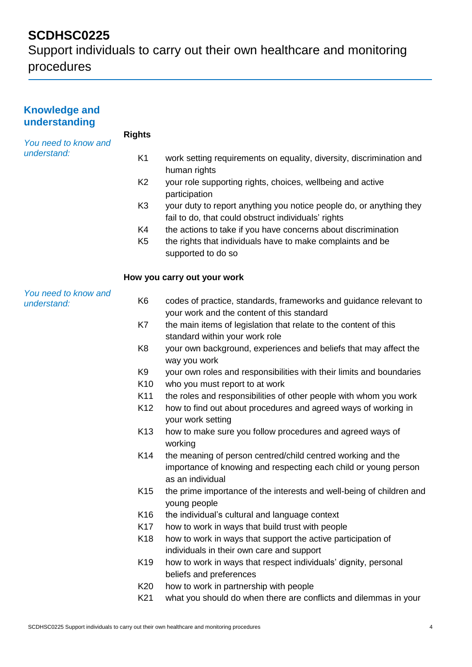| <b>Knowledge and</b><br>understanding |                 |                                                                                                                                                    |
|---------------------------------------|-----------------|----------------------------------------------------------------------------------------------------------------------------------------------------|
| You need to know and                  | <b>Rights</b>   |                                                                                                                                                    |
| understand:                           | K <sub>1</sub>  | work setting requirements on equality, diversity, discrimination and<br>human rights                                                               |
|                                       | K <sub>2</sub>  | your role supporting rights, choices, wellbeing and active<br>participation                                                                        |
|                                       | K <sub>3</sub>  | your duty to report anything you notice people do, or anything they<br>fail to do, that could obstruct individuals' rights                         |
|                                       | K4              | the actions to take if you have concerns about discrimination                                                                                      |
|                                       | K <sub>5</sub>  | the rights that individuals have to make complaints and be<br>supported to do so                                                                   |
|                                       |                 | How you carry out your work                                                                                                                        |
| You need to know and<br>understand:   | K <sub>6</sub>  | codes of practice, standards, frameworks and guidance relevant to<br>your work and the content of this standard                                    |
|                                       | K7              | the main items of legislation that relate to the content of this<br>standard within your work role                                                 |
|                                       | K <sub>8</sub>  | your own background, experiences and beliefs that may affect the<br>way you work                                                                   |
|                                       | K <sub>9</sub>  | your own roles and responsibilities with their limits and boundaries                                                                               |
|                                       | K <sub>10</sub> | who you must report to at work                                                                                                                     |
|                                       | K11             | the roles and responsibilities of other people with whom you work                                                                                  |
|                                       | K <sub>12</sub> | how to find out about procedures and agreed ways of working in<br>your work setting                                                                |
|                                       | K <sub>13</sub> | how to make sure you follow procedures and agreed ways of<br>working                                                                               |
|                                       | K <sub>14</sub> | the meaning of person centred/child centred working and the<br>importance of knowing and respecting each child or young person<br>as an individual |
|                                       | K <sub>15</sub> | the prime importance of the interests and well-being of children and<br>young people                                                               |
|                                       | K <sub>16</sub> | the individual's cultural and language context                                                                                                     |
|                                       | K <sub>17</sub> | how to work in ways that build trust with people                                                                                                   |
|                                       | K <sub>18</sub> | how to work in ways that support the active participation of                                                                                       |
|                                       |                 | individuals in their own care and support                                                                                                          |
|                                       | K <sub>19</sub> | how to work in ways that respect individuals' dignity, personal<br>beliefs and preferences                                                         |
|                                       | K20             | how to work in partnership with people                                                                                                             |
|                                       | K21             | what you should do when there are conflicts and dilemmas in your                                                                                   |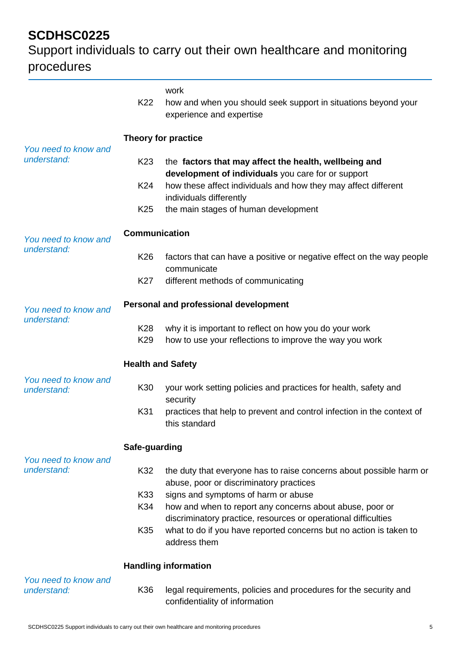|                                     | K22                         | work<br>how and when you should seek support in situations beyond your<br>experience and expertise                                |  |
|-------------------------------------|-----------------------------|-----------------------------------------------------------------------------------------------------------------------------------|--|
| You need to know and                | <b>Theory for practice</b>  |                                                                                                                                   |  |
| understand:                         | K <sub>23</sub>             | the factors that may affect the health, wellbeing and<br>development of individuals you care for or support                       |  |
|                                     | K24<br>K <sub>25</sub>      | how these affect individuals and how they may affect different<br>individuals differently<br>the main stages of human development |  |
|                                     |                             |                                                                                                                                   |  |
| You need to know and<br>understand: | <b>Communication</b>        |                                                                                                                                   |  |
|                                     | K26                         | factors that can have a positive or negative effect on the way people<br>communicate                                              |  |
|                                     | K27                         | different methods of communicating                                                                                                |  |
| You need to know and<br>understand: |                             | Personal and professional development                                                                                             |  |
|                                     | K28<br>K <sub>29</sub>      | why it is important to reflect on how you do your work<br>how to use your reflections to improve the way you work                 |  |
|                                     | <b>Health and Safety</b>    |                                                                                                                                   |  |
| You need to know and<br>understand: | K30                         | your work setting policies and practices for health, safety and<br>security                                                       |  |
|                                     | K31                         | practices that help to prevent and control infection in the context of<br>this standard                                           |  |
|                                     | Safe-guarding               |                                                                                                                                   |  |
| You need to know and<br>understand: | K32                         | the duty that everyone has to raise concerns about possible harm or<br>abuse, poor or discriminatory practices                    |  |
|                                     | K33                         | signs and symptoms of harm or abuse                                                                                               |  |
|                                     | K34                         | how and when to report any concerns about abuse, poor or<br>discriminatory practice, resources or operational difficulties        |  |
|                                     | K35                         | what to do if you have reported concerns but no action is taken to<br>address them                                                |  |
|                                     | <b>Handling information</b> |                                                                                                                                   |  |
| You need to know and<br>understand: | K36                         | legal requirements, policies and procedures for the security and<br>confidentiality of information                                |  |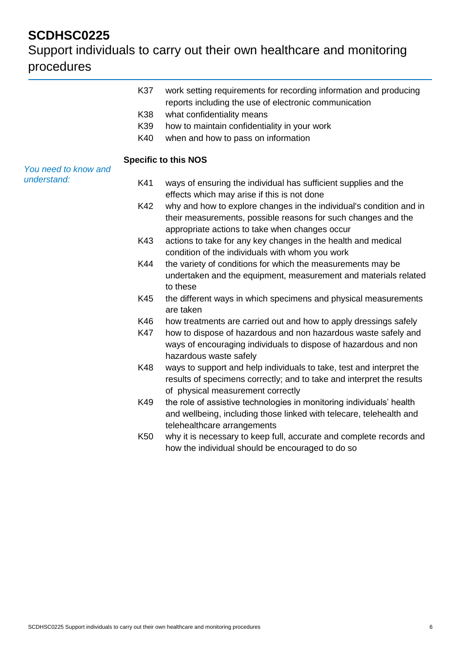| K37<br>K38<br>K39<br>K40 | work setting requirements for recording information and producing<br>reports including the use of electronic communication<br>what confidentiality means<br>how to maintain confidentiality in your work<br>when and how to pass on information |
|--------------------------|-------------------------------------------------------------------------------------------------------------------------------------------------------------------------------------------------------------------------------------------------|
|                          | <b>Specific to this NOS</b>                                                                                                                                                                                                                     |
| K41                      | ways of ensuring the individual has sufficient supplies and the<br>effects which may arise if this is not done                                                                                                                                  |
| K42                      | why and how to explore changes in the individual's condition and in<br>their measurements, possible reasons for such changes and the<br>appropriate actions to take when changes occur                                                          |
| K43                      | actions to take for any key changes in the health and medical<br>condition of the individuals with whom you work                                                                                                                                |
| K44                      | the variety of conditions for which the measurements may be<br>undertaken and the equipment, measurement and materials related<br>to these                                                                                                      |
| K45                      | the different ways in which specimens and physical measurements<br>are taken                                                                                                                                                                    |
| K46<br>K47               | how treatments are carried out and how to apply dressings safely<br>how to dispose of hazardous and non hazardous waste safely and<br>ways of encouraging individuals to dispose of hazardous and non<br>hazardous waste safely                 |
| K48                      | ways to support and help individuals to take, test and interpret the<br>results of specimens correctly; and to take and interpret the results<br>of physical measurement correctly                                                              |
| K49                      | the role of assistive technologies in monitoring individuals' health<br>and wellbeing, including those linked with telecare, telehealth and<br>telehealthcare arrangements                                                                      |
| K50                      | why it is necessary to keep full, accurate and complete records and<br>how the individual should be encouraged to do so                                                                                                                         |
|                          |                                                                                                                                                                                                                                                 |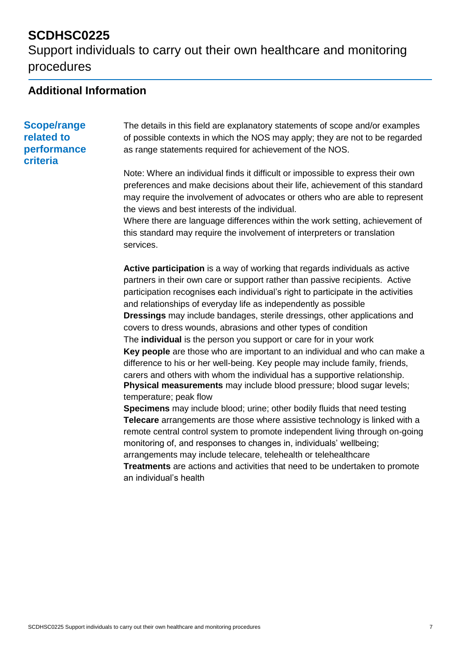Support individuals to carry out their own healthcare and monitoring procedures

### **Additional Information**

#### **Scope/range related to performance criteria**

The details in this field are explanatory statements of scope and/or examples of possible contexts in which the NOS may apply; they are not to be regarded as range statements required for achievement of the NOS.

Note: Where an individual finds it difficult or impossible to express their own preferences and make decisions about their life, achievement of this standard may require the involvement of advocates or others who are able to represent the views and best interests of the individual.

Where there are language differences within the work setting, achievement of this standard may require the involvement of interpreters or translation services.

**Active participation** is a way of working that regards individuals as active partners in their own care or support rather than passive recipients. Active participation recognises each individual's right to participate in the activities and relationships of everyday life as independently as possible **Dressings** may include bandages, sterile dressings, other applications and covers to dress wounds, abrasions and other types of condition The **individual** is the person you support or care for in your work **Key people** are those who are important to an individual and who can make a difference to his or her well-being. Key people may include family, friends, carers and others with whom the individual has a supportive relationship. **Physical measurements** may include blood pressure; blood sugar levels; temperature; peak flow

**Specimens** may include blood; urine; other bodily fluids that need testing **Telecare** arrangements are those where assistive technology is linked with a remote central control system to promote independent living through on-going monitoring of, and responses to changes in, individuals' wellbeing; arrangements may include telecare, telehealth or telehealthcare

**Treatments** are actions and activities that need to be undertaken to promote an individual's health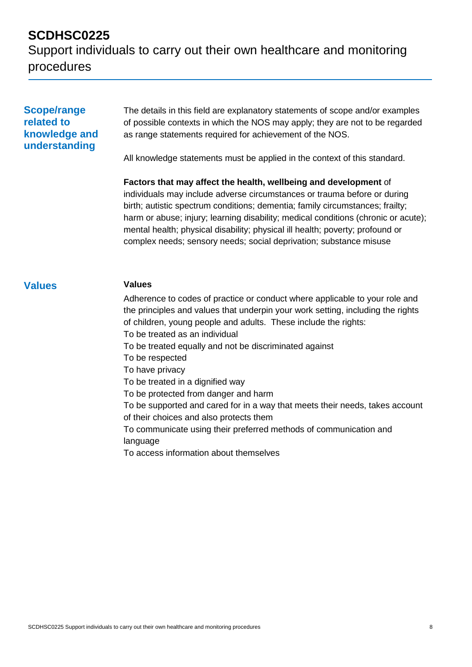Support individuals to carry out their own healthcare and monitoring procedures

#### **Scope/range related to knowledge and understanding**

The details in this field are explanatory statements of scope and/or examples of possible contexts in which the NOS may apply; they are not to be regarded as range statements required for achievement of the NOS.

All knowledge statements must be applied in the context of this standard.

**Factors that may affect the health, wellbeing and development** of individuals may include adverse circumstances or trauma before or during birth; autistic spectrum conditions; dementia; family circumstances; frailty; harm or abuse; injury; learning disability; medical conditions (chronic or acute); mental health; physical disability; physical ill health; poverty; profound or complex needs; sensory needs; social deprivation; substance misuse

#### **Values Values**

Adherence to codes of practice or conduct where applicable to your role and the principles and values that underpin your work setting, including the rights of children, young people and adults. These include the rights: To be treated as an individual To be treated equally and not be discriminated against To be respected To have privacy To be treated in a dignified way To be protected from danger and harm To be supported and cared for in a way that meets their needs, takes account of their choices and also protects them To communicate using their preferred methods of communication and language To access information about themselves